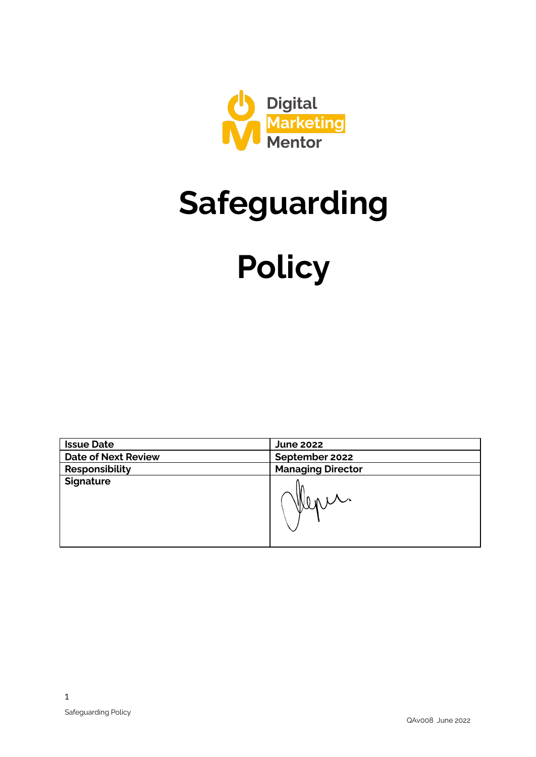

# **Safeguarding**

# **Policy**

| <b>Issue Date</b>          | <b>June 2022</b>         |
|----------------------------|--------------------------|
| <b>Date of Next Review</b> | September 2022           |
| Responsibility             | <b>Managing Director</b> |
| <b>Signature</b>           | Wenn                     |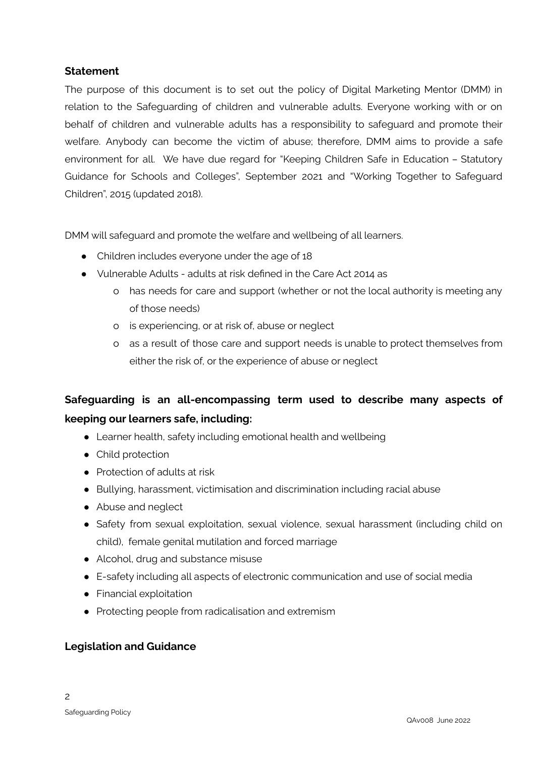#### **Statement**

The purpose of this document is to set out the policy of Digital Marketing Mentor (DMM) in relation to the Safeguarding of children and vulnerable adults. Everyone working with or on behalf of children and vulnerable adults has a responsibility to safeguard and promote their welfare. Anybody can become the victim of abuse; therefore, DMM aims to provide a safe environment for all. We have due regard for "Keeping Children Safe in Education – Statutory Guidance for Schools and Colleges", September 2021 and "Working Together to Safeguard Children", 2015 (updated 2018).

DMM will safeguard and promote the welfare and wellbeing of all learners.

- Children includes everyone under the age of 18
- Vulnerable Adults adults at risk defined in the Care Act 2014 as
	- o has needs for care and support (whether or not the local authority is meeting any of those needs)
	- o is experiencing, or at risk of, abuse or neglect
	- o as a result of those care and support needs is unable to protect themselves from either the risk of, or the experience of abuse or neglect

# **Safeguarding is an all-encompassing term used to describe many aspects of keeping our learners safe, including:**

- Learner health, safety including emotional health and wellbeing
- Child protection
- Protection of adults at risk
- Bullying, harassment, victimisation and discrimination including racial abuse
- Abuse and neglect
- Safety from sexual exploitation, sexual violence, sexual harassment (including child on child), female genital mutilation and forced marriage
- Alcohol, drug and substance misuse
- E-safety including all aspects of electronic communication and use of social media
- Financial exploitation
- Protecting people from radicalisation and extremism

#### **Legislation and Guidance**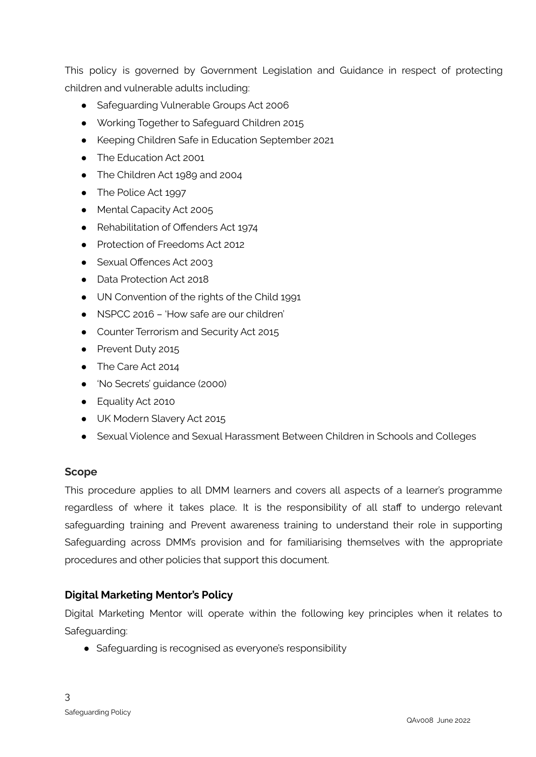This policy is governed by Government Legislation and Guidance in respect of protecting children and vulnerable adults including:

- Safeguarding Vulnerable Groups Act 2006
- Working Together to Safeguard Children 2015
- Keeping Children Safe in Education September 2021
- The Education Act 2001
- The Children Act 1989 and 2004
- The Police Act 1997
- Mental Capacity Act 2005
- Rehabilitation of Offenders Act 1974
- Protection of Freedoms Act 2012
- Sexual Offences Act 2003
- Data Protection Act 2018
- UN Convention of the rights of the Child 1991
- NSPCC 2016 'How safe are our children'
- Counter Terrorism and Security Act 2015
- Prevent Duty 2015
- The Care Act 2014
- 'No Secrets' guidance (2000)
- Equality Act 2010
- UK Modern Slavery Act 2015
- Sexual Violence and Sexual Harassment Between Children in Schools and Colleges

# **Scope**

This procedure applies to all DMM learners and covers all aspects of a learner's programme regardless of where it takes place. It is the responsibility of all staff to undergo relevant safeguarding training and Prevent awareness training to understand their role in supporting Safeguarding across DMM's provision and for familiarising themselves with the appropriate procedures and other policies that support this document.

# **Digital Marketing Mentor's Policy**

Digital Marketing Mentor will operate within the following key principles when it relates to Safeguarding:

• Safeguarding is recognised as everyone's responsibility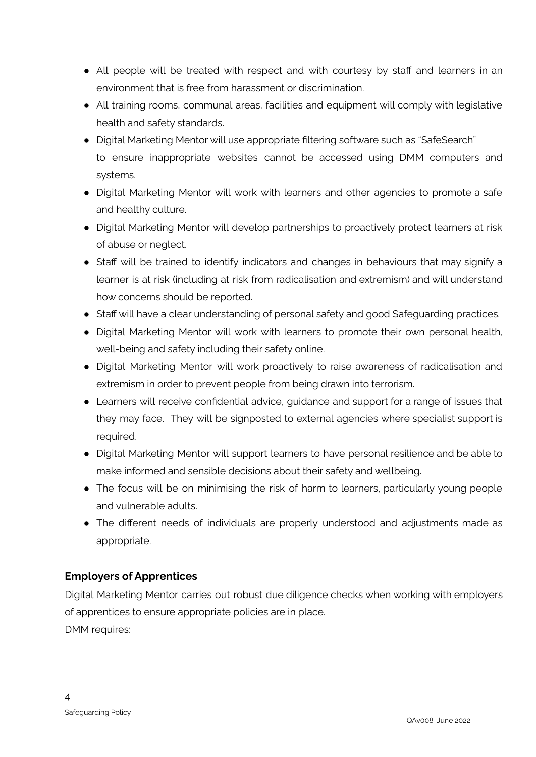- All people will be treated with respect and with courtesy by staff and learners in an environment that is free from harassment or discrimination.
- All training rooms, communal areas, facilities and equipment will comply with legislative health and safety standards.
- Digital Marketing Mentor will use appropriate filtering software such as "SafeSearch" to ensure inappropriate websites cannot be accessed using DMM computers and systems.
- Digital Marketing Mentor will work with learners and other agencies to promote a safe and healthy culture.
- Digital Marketing Mentor will develop partnerships to proactively protect learners at risk of abuse or neglect.
- Staff will be trained to identify indicators and changes in behaviours that may signify a learner is at risk (including at risk from radicalisation and extremism) and will understand how concerns should be reported.
- Staff will have a clear understanding of personal safety and good Safequarding practices.
- Digital Marketing Mentor will work with learners to promote their own personal health, well-being and safety including their safety online.
- Digital Marketing Mentor will work proactively to raise awareness of radicalisation and extremism in order to prevent people from being drawn into terrorism.
- Learners will receive confidential advice, guidance and support for a range of issues that they may face. They will be signposted to external agencies where specialist support is required.
- Digital Marketing Mentor will support learners to have personal resilience and be able to make informed and sensible decisions about their safety and wellbeing.
- The focus will be on minimising the risk of harm to learners, particularly young people and vulnerable adults.
- The different needs of individuals are properly understood and adjustments made as appropriate.

# **Employers of Apprentices**

Digital Marketing Mentor carries out robust due diligence checks when working with employers of apprentices to ensure appropriate policies are in place. DMM requires: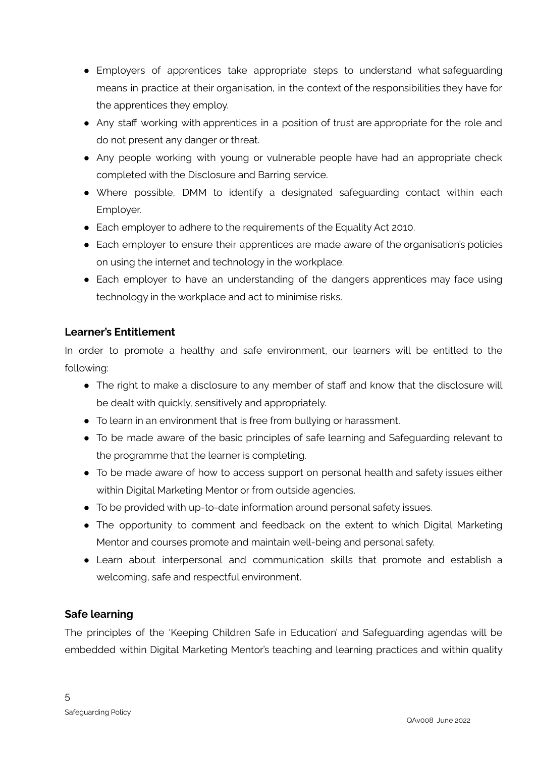- Employers of apprentices take appropriate steps to understand what safeguarding means in practice at their organisation, in the context of the responsibilities they have for the apprentices they employ.
- Any staff working with apprentices in a position of trust are appropriate for the role and do not present any danger or threat.
- Any people working with young or vulnerable people have had an appropriate check completed with the Disclosure and Barring service.
- Where possible, DMM to identify a designated safeguarding contact within each Employer.
- Each employer to adhere to the requirements of the Equality Act 2010.
- Each employer to ensure their apprentices are made aware of the organisation's policies on using the internet and technology in the workplace.
- Each employer to have an understanding of the dangers apprentices may face using technology in the workplace and act to minimise risks.

# **Learner's Entitlement**

In order to promote a healthy and safe environment, our learners will be entitled to the following:

- The right to make a disclosure to any member of staff and know that the disclosure will be dealt with quickly, sensitively and appropriately.
- To learn in an environment that is free from bullying or harassment.
- To be made aware of the basic principles of safe learning and Safeguarding relevant to the programme that the learner is completing.
- To be made aware of how to access support on personal health and safety issues either within Digital Marketing Mentor or from outside agencies.
- To be provided with up-to-date information around personal safety issues.
- The opportunity to comment and feedback on the extent to which Digital Marketing Mentor and courses promote and maintain well-being and personal safety.
- **●** Learn about interpersonal and communication skills that promote and establish a welcoming, safe and respectful environment.

# **Safe learning**

The principles of the 'Keeping Children Safe in Education' and Safeguarding agendas will be embedded within Digital Marketing Mentor's teaching and learning practices and within quality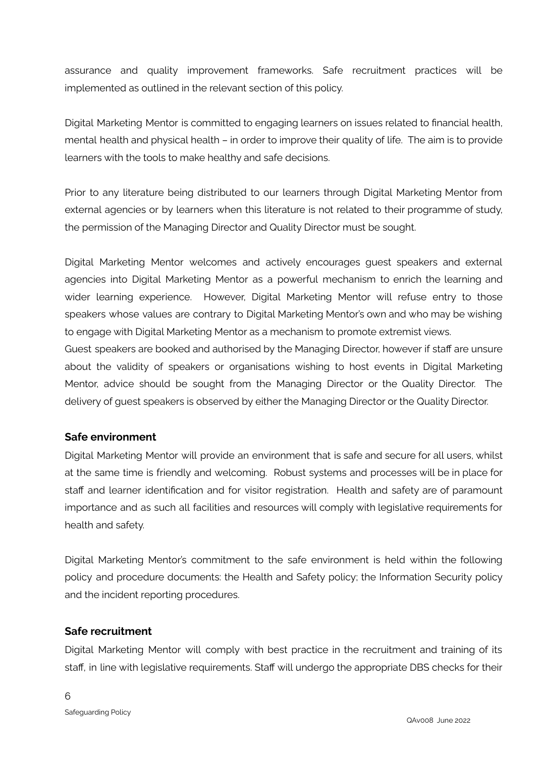assurance and quality improvement frameworks. Safe recruitment practices will be implemented as outlined in the relevant section of this policy.

Digital Marketing Mentor is committed to engaging learners on issues related to financial health, mental health and physical health – in order to improve their quality of life. The aim is to provide learners with the tools to make healthy and safe decisions.

Prior to any literature being distributed to our learners through Digital Marketing Mentor from external agencies or by learners when this literature is not related to their programme of study, the permission of the Managing Director and Quality Director must be sought.

Digital Marketing Mentor welcomes and actively encourages guest speakers and external agencies into Digital Marketing Mentor as a powerful mechanism to enrich the learning and wider learning experience. However, Digital Marketing Mentor will refuse entry to those speakers whose values are contrary to Digital Marketing Mentor's own and who may be wishing to engage with Digital Marketing Mentor as a mechanism to promote extremist views.

Guest speakers are booked and authorised by the Managing Director, however if staff are unsure about the validity of speakers or organisations wishing to host events in Digital Marketing Mentor, advice should be sought from the Managing Director or the Quality Director. The delivery of guest speakers is observed by either the Managing Director or the Quality Director.

#### **Safe environment**

Digital Marketing Mentor will provide an environment that is safe and secure for all users, whilst at the same time is friendly and welcoming. Robust systems and processes will be in place for staff and learner identification and for visitor registration. Health and safety are of paramount importance and as such all facilities and resources will comply with legislative requirements for health and safety.

Digital Marketing Mentor's commitment to the safe environment is held within the following policy and procedure documents: the Health and Safety policy; the Information Security policy and the incident reporting procedures.

#### **Safe recruitment**

Digital Marketing Mentor will comply with best practice in the recruitment and training of its staff, in line with legislative requirements. Staff will undergo the appropriate DBS checks for their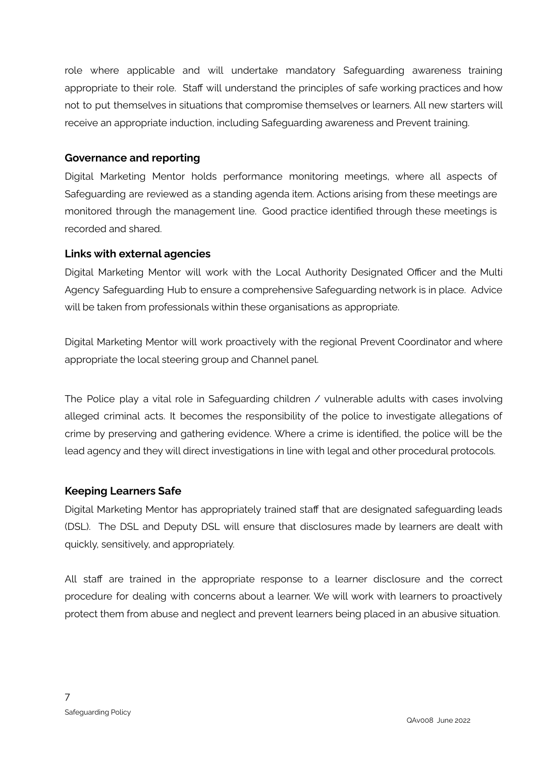role where applicable and will undertake mandatory Safeguarding awareness training appropriate to their role. Staff will understand the principles of safe working practices and how not to put themselves in situations that compromise themselves or learners. All new starters will receive an appropriate induction, including Safeguarding awareness and Prevent training.

#### **Governance and reporting**

Digital Marketing Mentor holds performance monitoring meetings, where all aspects of Safeguarding are reviewed as a standing agenda item. Actions arising from these meetings are monitored through the management line. Good practice identified through these meetings is recorded and shared.

#### **Links with external agencies**

Digital Marketing Mentor will work with the Local Authority Designated Officer and the Multi Agency Safeguarding Hub to ensure a comprehensive Safeguarding network is in place. Advice will be taken from professionals within these organisations as appropriate.

Digital Marketing Mentor will work proactively with the regional Prevent Coordinator and where appropriate the local steering group and Channel panel.

The Police play a vital role in Safeguarding children / vulnerable adults with cases involving alleged criminal acts. It becomes the responsibility of the police to investigate allegations of crime by preserving and gathering evidence. Where a crime is identified, the police will be the lead agency and they will direct investigations in line with legal and other procedural protocols.

# **Keeping Learners Safe**

Digital Marketing Mentor has appropriately trained staff that are designated safeguarding leads (DSL). The DSL and Deputy DSL will ensure that disclosures made by learners are dealt with quickly, sensitively, and appropriately.

All staff are trained in the appropriate response to a learner disclosure and the correct procedure for dealing with concerns about a learner. We will work with learners to proactively protect them from abuse and neglect and prevent learners being placed in an abusive situation.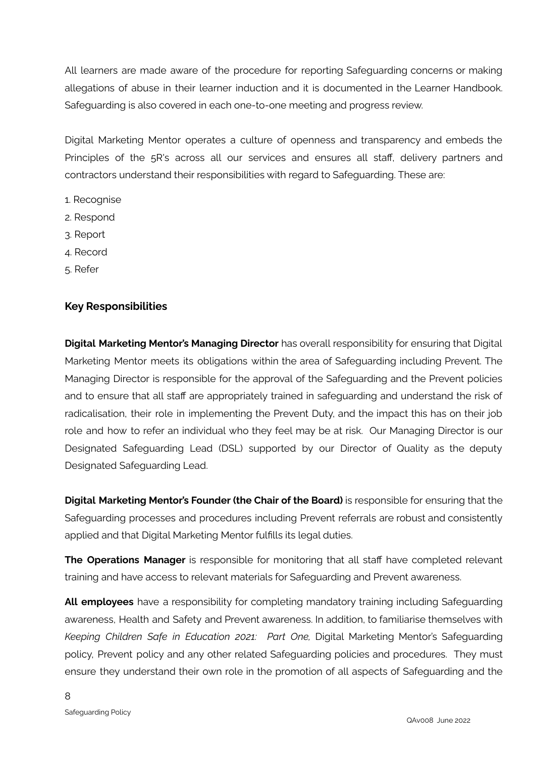All learners are made aware of the procedure for reporting Safeguarding concerns or making allegations of abuse in their learner induction and it is documented in the Learner Handbook. Safeguarding is also covered in each one-to-one meeting and progress review.

Digital Marketing Mentor operates a culture of openness and transparency and embeds the Principles of the 5R's across all our services and ensures all staff, delivery partners and contractors understand their responsibilities with regard to Safeguarding. These are:

- 1. Recognise
- 2. Respond
- 3. Report
- 4. Record
- 5. Refer

#### **Key Responsibilities**

**Digital Marketing Mentor's Managing Director** has overall responsibility for ensuring that Digital Marketing Mentor meets its obligations within the area of Safeguarding including Prevent. The Managing Director is responsible for the approval of the Safeguarding and the Prevent policies and to ensure that all staff are appropriately trained in safeguarding and understand the risk of radicalisation, their role in implementing the Prevent Duty, and the impact this has on their job role and how to refer an individual who they feel may be at risk. Our Managing Director is our Designated Safeguarding Lead (DSL) supported by our Director of Quality as the deputy Designated Safeguarding Lead.

**Digital Marketing Mentor's Founder (the Chair of the Board)** is responsible for ensuring that the Safeguarding processes and procedures including Prevent referrals are robust and consistently applied and that Digital Marketing Mentor fulfills its legal duties.

**The Operations Manager** is responsible for monitoring that all staff have completed relevant training and have access to relevant materials for Safeguarding and Prevent awareness.

**All employees** have a responsibility for completing mandatory training including Safeguarding awareness, Health and Safety and Prevent awareness. In addition, to familiarise themselves with *Keeping Children Safe in Education 2021: Part One,* Digital Marketing Mentor's Safeguarding policy, Prevent policy and any other related Safeguarding policies and procedures. They must ensure they understand their own role in the promotion of all aspects of Safeguarding and the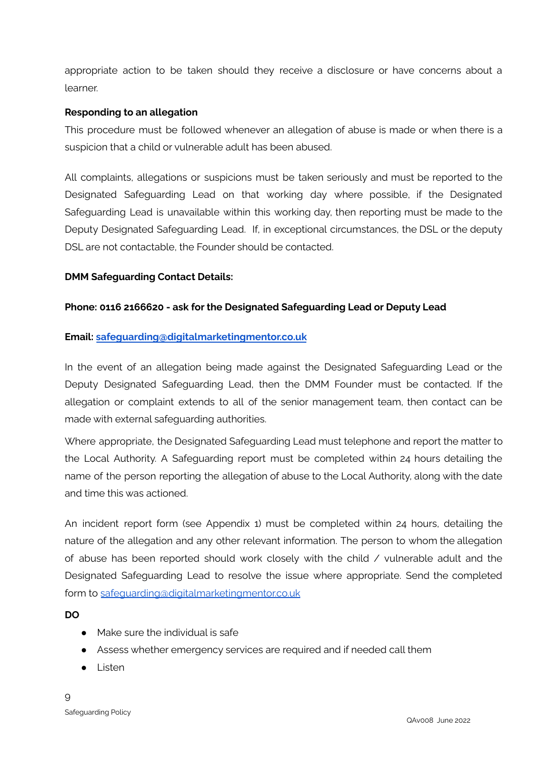appropriate action to be taken should they receive a disclosure or have concerns about a learner.

#### **Responding to an allegation**

This procedure must be followed whenever an allegation of abuse is made or when there is a suspicion that a child or vulnerable adult has been abused.

All complaints, allegations or suspicions must be taken seriously and must be reported to the Designated Safeguarding Lead on that working day where possible, if the Designated Safeguarding Lead is unavailable within this working day, then reporting must be made to the Deputy Designated Safeguarding Lead. If, in exceptional circumstances, the DSL or the deputy DSL are not contactable, the Founder should be contacted.

#### **DMM Safeguarding Contact Details:**

#### **Phone: 0116 2166620 - ask for the Designated Safeguarding Lead or Deputy Lead**

#### **Email: [safeguarding@digitalmarketingmentor.co.uk](mailto:safeguarding@digitalmarketingmentor.co.uk)**

In the event of an allegation being made against the Designated Safeguarding Lead or the Deputy Designated Safeguarding Lead, then the DMM Founder must be contacted. If the allegation or complaint extends to all of the senior management team, then contact can be made with external safeguarding authorities.

Where appropriate, the Designated Safeguarding Lead must telephone and report the matter to the Local Authority. A Safeguarding report must be completed within 24 hours detailing the name of the person reporting the allegation of abuse to the Local Authority, along with the date and time this was actioned.

An incident report form (see Appendix 1) must be completed within 24 hours, detailing the nature of the allegation and any other relevant information. The person to whom the allegation of abuse has been reported should work closely with the child / vulnerable adult and the Designated Safeguarding Lead to resolve the issue where appropriate. Send the completed form to [safeguarding@digitalmarketingmentor.co.uk](mailto:safeguarding@digitalmarketingmentor.co.uk)

#### **DO**

- **●** Make sure the individual is safe
- **●** Assess whether emergency services are required and if needed call them
- **●** Listen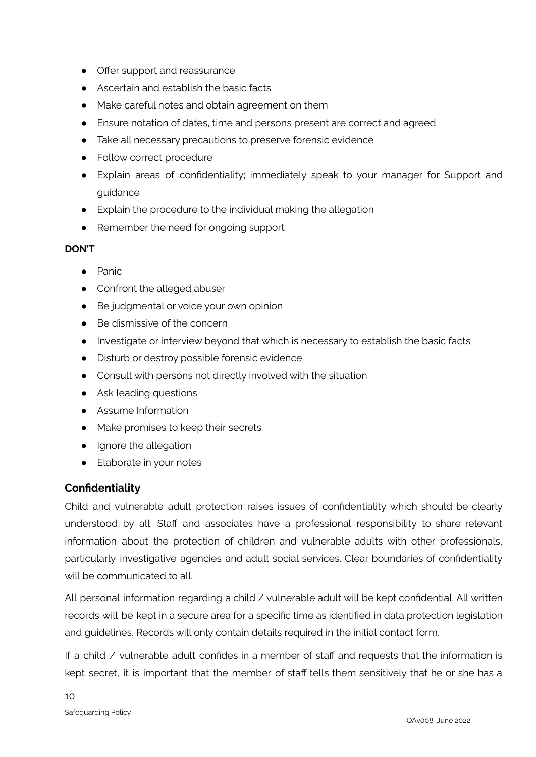- **●** Offer support and reassurance
- **●** Ascertain and establish the basic facts
- **●** Make careful notes and obtain agreement on them
- **●** Ensure notation of dates, time and persons present are correct and agreed
- **●** Take all necessary precautions to preserve forensic evidence
- **●** Follow correct procedure
- **●** Explain areas of confidentiality; immediately speak to your manager for Support and guidance
- **●** Explain the procedure to the individual making the allegation
- **●** Remember the need for ongoing support

#### **DON'T**

- **●** Panic
- Confront the alleged abuser
- Be judgmental or voice your own opinion
- $\bullet$  Be dismissive of the concern
- Investigate or interview beyond that which is necessary to establish the basic facts
- Disturb or destroy possible forensic evidence
- Consult with persons not directly involved with the situation
- Ask leading questions
- Assume Information
- Make promises to keep their secrets
- Ignore the allegation
- Elaborate in your notes

# **Confidentiality**

Child and vulnerable adult protection raises issues of confidentiality which should be clearly understood by all. Staff and associates have a professional responsibility to share relevant information about the protection of children and vulnerable adults with other professionals, particularly investigative agencies and adult social services. Clear boundaries of confidentiality will be communicated to all.

All personal information regarding a child / vulnerable adult will be kept confidential. All written records will be kept in a secure area for a specific time as identified in data protection legislation and guidelines. Records will only contain details required in the initial contact form.

If a child / vulnerable adult confides in a member of staff and requests that the information is kept secret, it is important that the member of staff tells them sensitively that he or she has a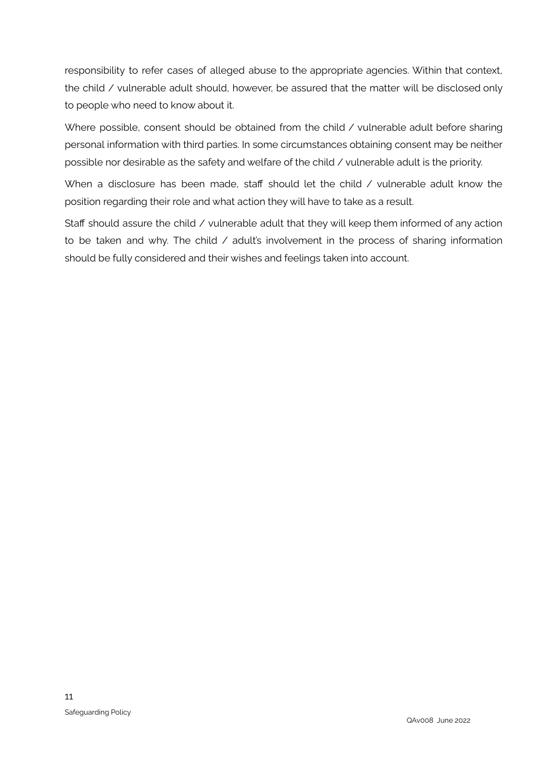responsibility to refer cases of alleged abuse to the appropriate agencies. Within that context, the child / vulnerable adult should, however, be assured that the matter will be disclosed only to people who need to know about it.

Where possible, consent should be obtained from the child / vulnerable adult before sharing personal information with third parties. In some circumstances obtaining consent may be neither possible nor desirable as the safety and welfare of the child / vulnerable adult is the priority.

When a disclosure has been made, staff should let the child / vulnerable adult know the position regarding their role and what action they will have to take as a result.

Staff should assure the child  $\ell$  vulnerable adult that they will keep them informed of any action to be taken and why. The child / adult's involvement in the process of sharing information should be fully considered and their wishes and feelings taken into account.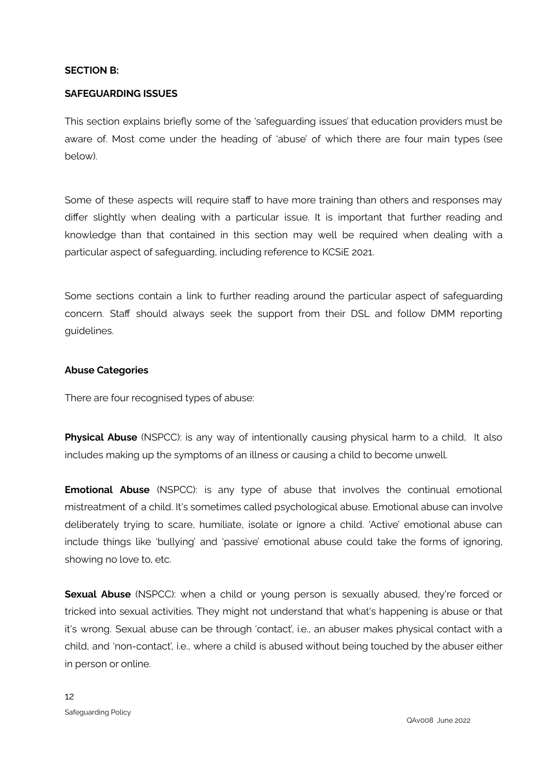#### **SECTION B:**

#### **SAFEGUARDING ISSUES**

This section explains briefly some of the 'safeguarding issues' that education providers must be aware of. Most come under the heading of 'abuse' of which there are four main types (see below).

Some of these aspects will require staff to have more training than others and responses may differ slightly when dealing with a particular issue. It is important that further reading and knowledge than that contained in this section may well be required when dealing with a particular aspect of safeguarding, including reference to KCSiE 2021.

Some sections contain a link to further reading around the particular aspect of safeguarding concern. Staff should always seek the support from their DSL and follow DMM reporting guidelines.

#### **Abuse Categories**

There are four recognised types of abuse:

**Physical Abuse** (NSPCC): is any way of intentionally causing physical harm to a child, It also includes making up the symptoms of an illness or causing a child to become unwell.

**Emotional Abuse** (NSPCC): is any type of abuse that involves the continual emotional mistreatment of a child. It's sometimes called psychological abuse. Emotional abuse can involve deliberately trying to scare, humiliate, isolate or ignore a child. 'Active' emotional abuse can include things like 'bullying' and 'passive' emotional abuse could take the forms of ignoring, showing no love to, etc.

**Sexual Abuse** (NSPCC): when a child or young person is sexually abused, they're forced or tricked into sexual activities. They might not understand that what's happening is abuse or that it's wrong. Sexual abuse can be through 'contact', i.e., an abuser makes physical contact with a child, and 'non-contact', i.e., where a child is abused without being touched by the abuser either in person or online.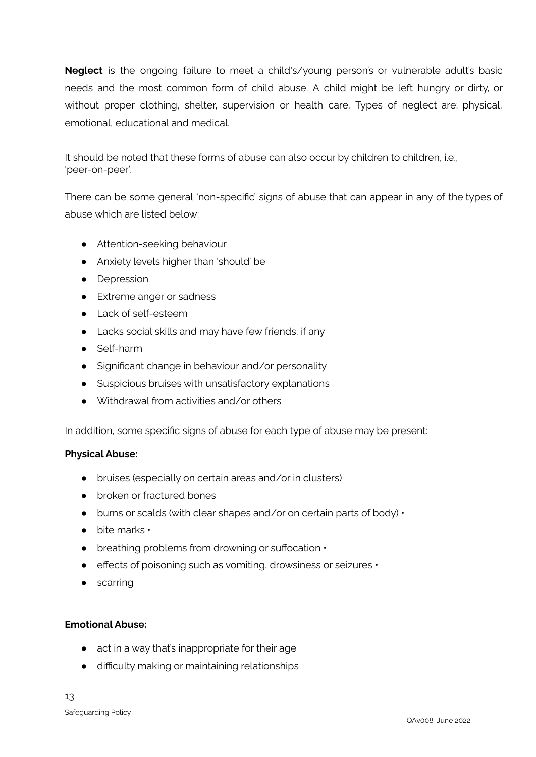**Neglect** is the ongoing failure to meet a child's/young person's or vulnerable adult's basic needs and the most common form of child abuse. A child might be left hungry or dirty, or without proper clothing, shelter, supervision or health care. Types of neglect are; physical, emotional, educational and medical.

It should be noted that these forms of abuse can also occur by children to children, i.e., 'peer-on-peer'.

There can be some general 'non-specific' signs of abuse that can appear in any of the types of abuse which are listed below:

- Attention-seeking behaviour
- Anxiety levels higher than 'should' be
- Depression
- Extreme anger or sadness
- Lack of self-esteem
- Lacks social skills and may have few friends, if any
- Self-harm
- Significant change in behaviour and/or personality
- Suspicious bruises with unsatisfactory explanations
- Withdrawal from activities and/or others

In addition, some specific signs of abuse for each type of abuse may be present:

#### **Physical Abuse:**

- bruises (especially on certain areas and/or in clusters)
- broken or fractured bones
- $\bullet$  burns or scalds (with clear shapes and/or on certain parts of body)  $\cdot$
- $\bullet$  bite marks  $\cdot$
- $\bullet$  breathing problems from drowning or suffocation  $\cdot$
- effects of poisoning such as vomiting, drowsiness or seizures •
- scarring

#### **Emotional Abuse:**

- act in a way that's inappropriate for their age
- difficulty making or maintaining relationships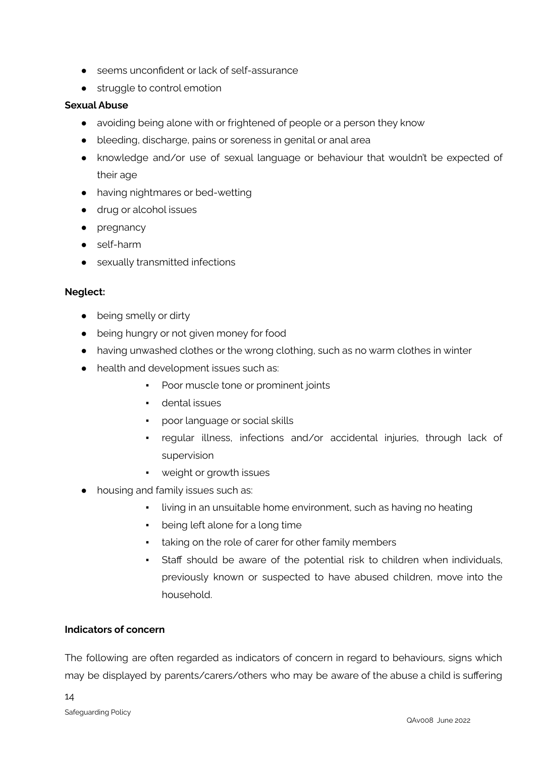- seems unconfident or lack of self-assurance
- struggle to control emotion

#### **Sexual Abuse**

- avoiding being alone with or frightened of people or a person they know
- bleeding, discharge, pains or soreness in genital or anal area
- knowledge and/or use of sexual language or behaviour that wouldn't be expected of their age
- having nightmares or bed-wetting
- drug or alcohol issues
- pregnancy
- self-harm
- sexually transmitted infections

#### **Neglect:**

- being smelly or dirty
- being hungry or not given money for food
- having unwashed clothes or the wrong clothing, such as no warm clothes in winter
- health and development issues such as:
	- Poor muscle tone or prominent joints
	- dental issues
	- poor language or social skills
	- regular illness, infections and/or accidental injuries, through lack of supervision
	- weight or growth issues
- housing and family issues such as:
	- living in an unsuitable home environment, such as having no heating
	- being left alone for a long time
	- taking on the role of carer for other family members
	- Staff should be aware of the potential risk to children when individuals, previously known or suspected to have abused children, move into the household.

#### **Indicators of concern**

The following are often regarded as indicators of concern in regard to behaviours, signs which may be displayed by parents/carers/others who may be aware of the abuse a child is suffering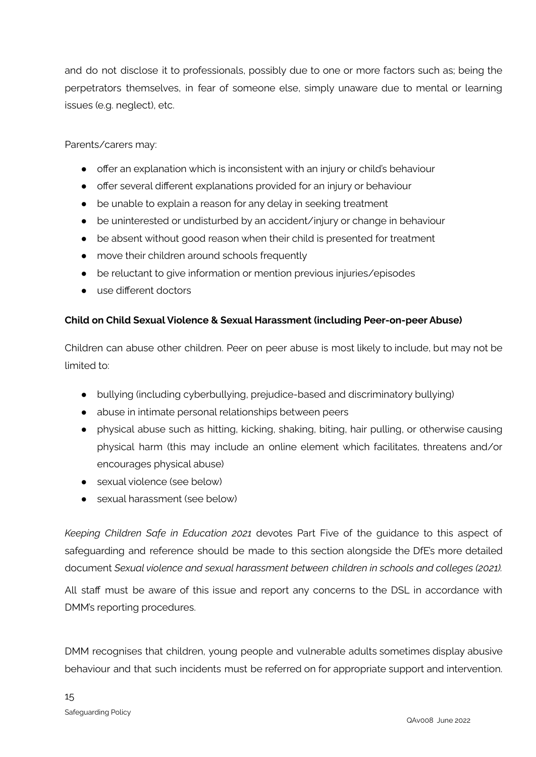and do not disclose it to professionals, possibly due to one or more factors such as; being the perpetrators themselves, in fear of someone else, simply unaware due to mental or learning issues (e.g. neglect), etc.

Parents/carers may:

- offer an explanation which is inconsistent with an injury or child's behaviour
- offer several different explanations provided for an injury or behaviour
- be unable to explain a reason for any delay in seeking treatment
- be uninterested or undisturbed by an accident/injury or change in behaviour
- be absent without good reason when their child is presented for treatment
- move their children around schools frequently
- be reluctant to give information or mention previous injuries/episodes
- use different doctors

#### **Child on Child Sexual Violence & Sexual Harassment (including Peer-on-peer Abuse)**

Children can abuse other children. Peer on peer abuse is most likely to include, but may not be limited to:

- bullying (including cyberbullying, prejudice-based and discriminatory bullying)
- abuse in intimate personal relationships between peers
- physical abuse such as hitting, kicking, shaking, biting, hair pulling, or otherwise causing physical harm (this may include an online element which facilitates, threatens and/or encourages physical abuse)
- sexual violence (see below)
- sexual harassment (see below)

*Keeping Children Safe in Education 2021* devotes Part Five of the guidance to this aspect of safeguarding and reference should be made to this section alongside the DfE's more detailed document *Sexual violence and sexual harassment between children in schools and colleges (2021).*

All staff must be aware of this issue and report any concerns to the DSL in accordance with DMM's reporting procedures.

DMM recognises that children, young people and vulnerable adults sometimes display abusive behaviour and that such incidents must be referred on for appropriate support and intervention.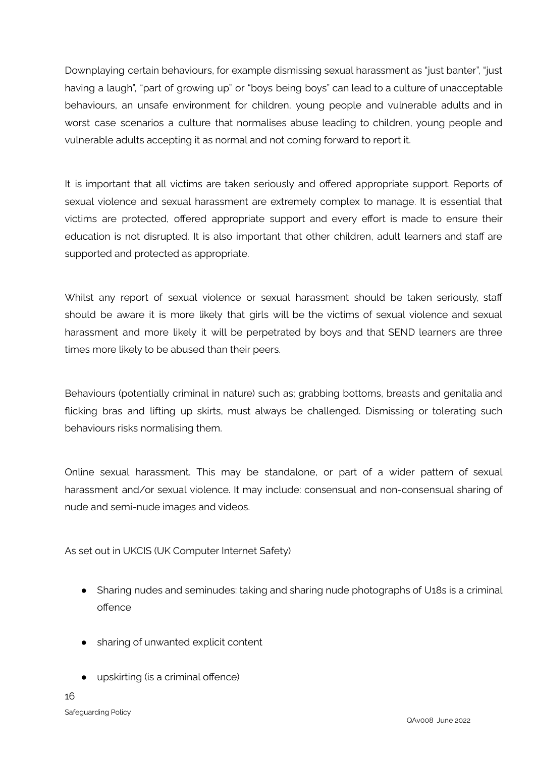Downplaying certain behaviours, for example dismissing sexual harassment as "just banter", "just having a laugh", "part of growing up" or "boys being boys" can lead to a culture of unacceptable behaviours, an unsafe environment for children, young people and vulnerable adults and in worst case scenarios a culture that normalises abuse leading to children, young people and vulnerable adults accepting it as normal and not coming forward to report it.

It is important that all victims are taken seriously and offered appropriate support. Reports of sexual violence and sexual harassment are extremely complex to manage. It is essential that victims are protected, offered appropriate support and every effort is made to ensure their education is not disrupted. It is also important that other children, adult learners and staff are supported and protected as appropriate.

Whilst any report of sexual violence or sexual harassment should be taken seriously, staff should be aware it is more likely that girls will be the victims of sexual violence and sexual harassment and more likely it will be perpetrated by boys and that SEND learners are three times more likely to be abused than their peers.

Behaviours (potentially criminal in nature) such as; grabbing bottoms, breasts and genitalia and flicking bras and lifting up skirts, must always be challenged. Dismissing or tolerating such behaviours risks normalising them.

Online sexual harassment. This may be standalone, or part of a wider pattern of sexual harassment and/or sexual violence. It may include: consensual and non-consensual sharing of nude and semi-nude images and videos.

As set out in UKCIS (UK Computer Internet Safety)

- Sharing nudes and seminudes: taking and sharing nude photographs of U18s is a criminal offence
- sharing of unwanted explicit content
- upskirting (is a criminal offence)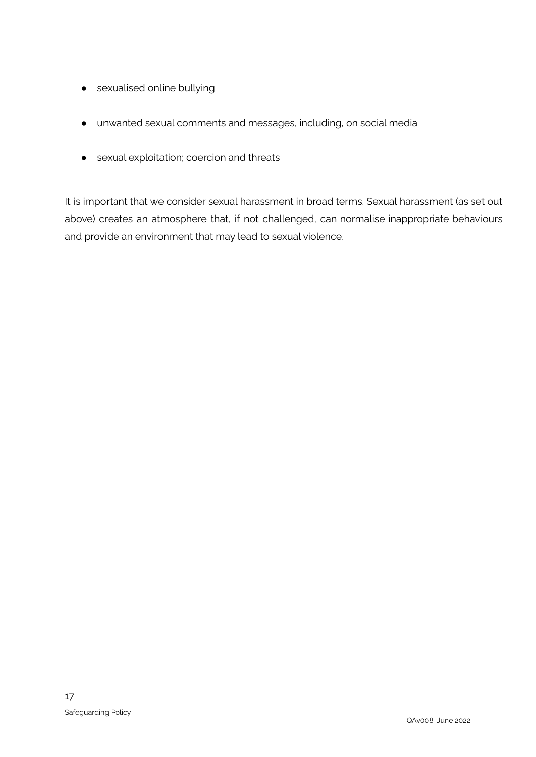- sexualised online bullying
- unwanted sexual comments and messages, including, on social media
- sexual exploitation; coercion and threats

It is important that we consider sexual harassment in broad terms. Sexual harassment (as set out above) creates an atmosphere that, if not challenged, can normalise inappropriate behaviours and provide an environment that may lead to sexual violence.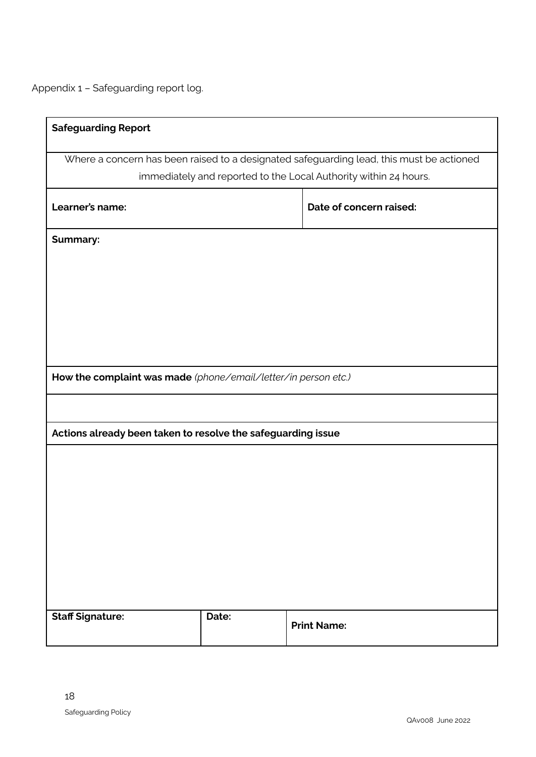Appendix 1 – Safeguarding report log.

| <b>Safeguarding Report</b>                                       |       |                                                                                          |  |  |
|------------------------------------------------------------------|-------|------------------------------------------------------------------------------------------|--|--|
|                                                                  |       |                                                                                          |  |  |
|                                                                  |       | Where a concern has been raised to a designated safeguarding lead, this must be actioned |  |  |
| immediately and reported to the Local Authority within 24 hours. |       |                                                                                          |  |  |
|                                                                  |       |                                                                                          |  |  |
| Learner's name:                                                  |       | Date of concern raised:                                                                  |  |  |
|                                                                  |       |                                                                                          |  |  |
| <b>Summary:</b>                                                  |       |                                                                                          |  |  |
|                                                                  |       |                                                                                          |  |  |
|                                                                  |       |                                                                                          |  |  |
|                                                                  |       |                                                                                          |  |  |
|                                                                  |       |                                                                                          |  |  |
|                                                                  |       |                                                                                          |  |  |
|                                                                  |       |                                                                                          |  |  |
|                                                                  |       |                                                                                          |  |  |
|                                                                  |       |                                                                                          |  |  |
| How the complaint was made (phone/email/letter/in person etc.)   |       |                                                                                          |  |  |
|                                                                  |       |                                                                                          |  |  |
|                                                                  |       |                                                                                          |  |  |
| Actions already been taken to resolve the safeguarding issue     |       |                                                                                          |  |  |
|                                                                  |       |                                                                                          |  |  |
|                                                                  |       |                                                                                          |  |  |
|                                                                  |       |                                                                                          |  |  |
|                                                                  |       |                                                                                          |  |  |
|                                                                  |       |                                                                                          |  |  |
|                                                                  |       |                                                                                          |  |  |
|                                                                  |       |                                                                                          |  |  |
|                                                                  |       |                                                                                          |  |  |
|                                                                  |       |                                                                                          |  |  |
|                                                                  |       |                                                                                          |  |  |
|                                                                  |       |                                                                                          |  |  |
| <b>Staff Signature:</b>                                          | Date: | <b>Print Name:</b>                                                                       |  |  |
|                                                                  |       |                                                                                          |  |  |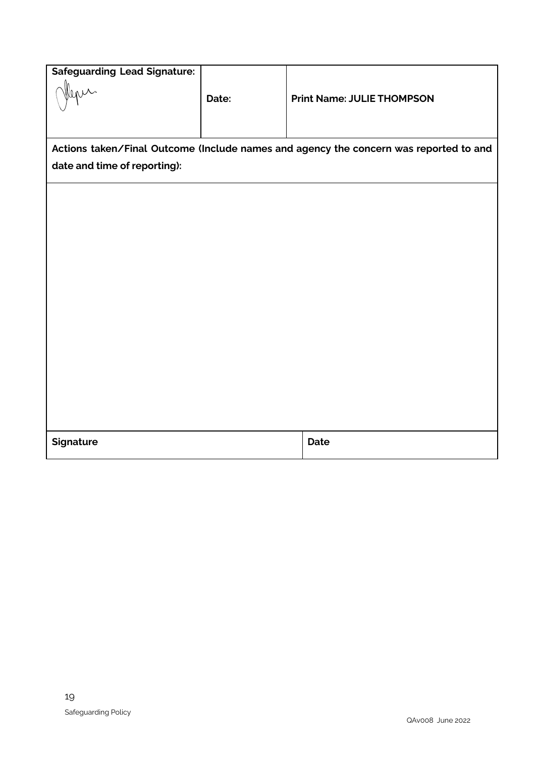| <b>Safeguarding Lead Signature:</b>                                                   |       |                                   |  |
|---------------------------------------------------------------------------------------|-------|-----------------------------------|--|
|                                                                                       | Date: | <b>Print Name: JULIE THOMPSON</b> |  |
|                                                                                       |       |                                   |  |
| Actions taken/Final Outcome (Include names and agency the concern was reported to and |       |                                   |  |
| date and time of reporting):                                                          |       |                                   |  |
|                                                                                       |       |                                   |  |
|                                                                                       |       |                                   |  |
|                                                                                       |       |                                   |  |
|                                                                                       |       |                                   |  |
|                                                                                       |       |                                   |  |
|                                                                                       |       |                                   |  |
|                                                                                       |       |                                   |  |
|                                                                                       |       |                                   |  |
|                                                                                       |       |                                   |  |
|                                                                                       |       |                                   |  |
|                                                                                       |       |                                   |  |
|                                                                                       |       |                                   |  |
| <b>Signature</b>                                                                      |       | Date                              |  |